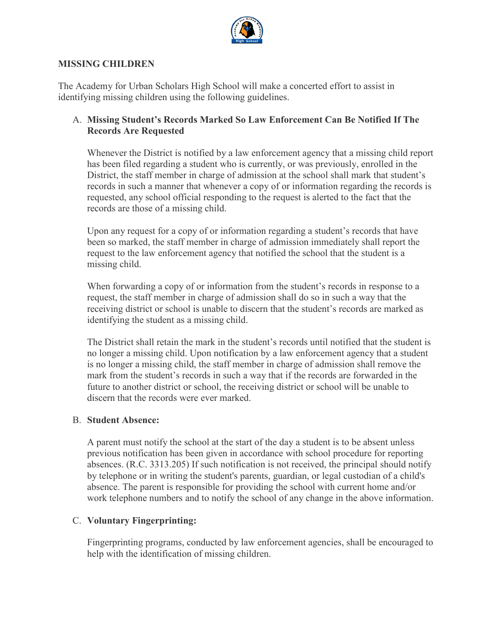

#### **MISSING CHILDREN**

The Academy for Urban Scholars High School will make a concerted effort to assist in identifying missing children using the following guidelines.

### A. **Missing Student's Records Marked So Law Enforcement Can Be Notified If The Records Are Requested**

Whenever the District is notified by a law enforcement agency that a missing child report has been filed regarding a student who is currently, or was previously, enrolled in the District, the staff member in charge of admission at the school shall mark that student's records in such a manner that whenever a copy of or information regarding the records is requested, any school official responding to the request is alerted to the fact that the records are those of a missing child.

Upon any request for a copy of or information regarding a student's records that have been so marked, the staff member in charge of admission immediately shall report the request to the law enforcement agency that notified the school that the student is a missing child.

When forwarding a copy of or information from the student's records in response to a request, the staff member in charge of admission shall do so in such a way that the receiving district or school is unable to discern that the student's records are marked as identifying the student as a missing child.

The District shall retain the mark in the student's records until notified that the student is no longer a missing child. Upon notification by a law enforcement agency that a student is no longer a missing child, the staff member in charge of admission shall remove the mark from the student's records in such a way that if the records are forwarded in the future to another district or school, the receiving district or school will be unable to discern that the records were ever marked.

### B. **Student Absence:**

A parent must notify the school at the start of the day a student is to be absent unless previous notification has been given in accordance with school procedure for reporting absences. (R.C. 3313.205) If such notification is not received, the principal should notify by telephone or in writing the student's parents, guardian, or legal custodian of a child's absence. The parent is responsible for providing the school with current home and/or work telephone numbers and to notify the school of any change in the above information.

### C. **Voluntary Fingerprinting:**

Fingerprinting programs, conducted by law enforcement agencies, shall be encouraged to help with the identification of missing children.